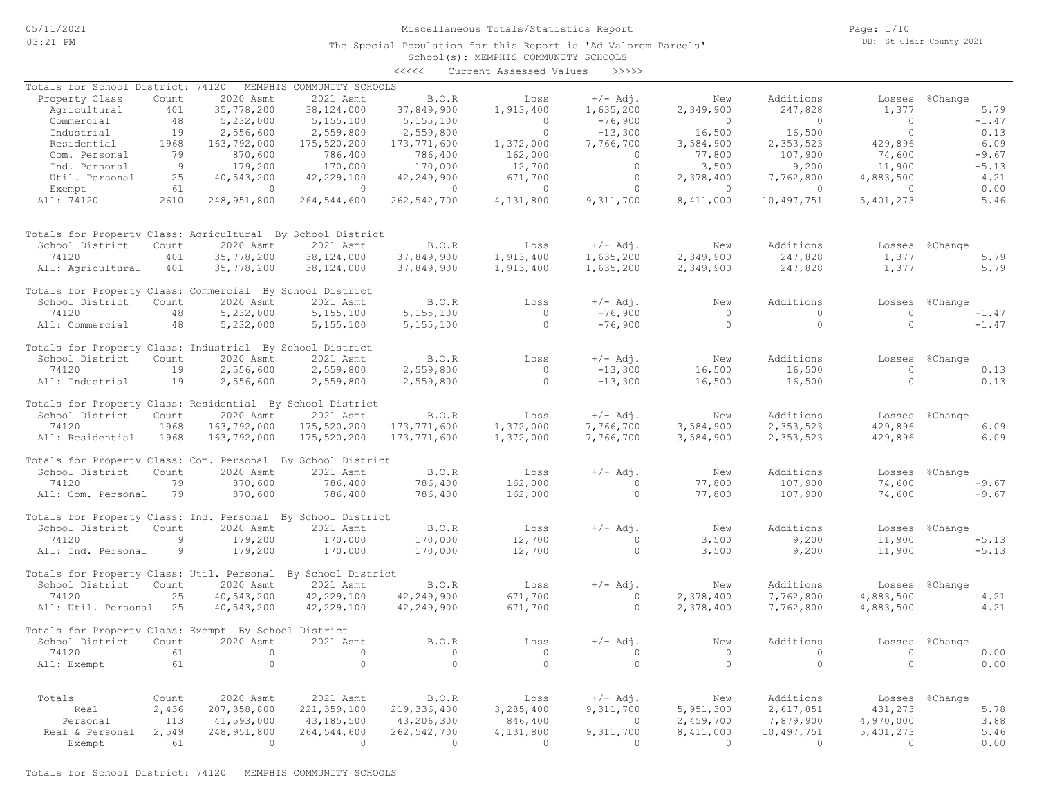## Miscellaneous Totals/Statistics Report

Page: 1/10 DB: St Clair County 2021

#### School(s): MEMPHIS COMMUNITY SCHOOLS The Special Population for this Report is 'Ad Valorem Parcels'

|                                                              |       |             |                           | <<<<        | Current Assessed Values | >>>>>      |           |            |                |                |
|--------------------------------------------------------------|-------|-------------|---------------------------|-------------|-------------------------|------------|-----------|------------|----------------|----------------|
| Totals for School District: 74120                            |       |             | MEMPHIS COMMUNITY SCHOOLS |             |                         |            |           |            |                |                |
| Property Class                                               | Count | 2020 Asmt   | 2021 Asmt                 | B.O.R       | Loss                    | $+/-$ Adj. | New       | Additions  |                | Losses %Change |
| Agricultural                                                 | 401   | 35,778,200  | 38,124,000                | 37,849,900  | 1,913,400               | 1,635,200  | 2,349,900 | 247,828    | 1,377          | 5.79           |
| Commercial                                                   | 48    | 5,232,000   | 5, 155, 100               | 5,155,100   | $\overline{0}$          | $-76,900$  | $\circ$   | $\circ$    | $\overline{0}$ | $-1.47$        |
| Industrial                                                   | 19    | 2,556,600   | 2,559,800                 | 2,559,800   | $\circ$                 | $-13,300$  | 16,500    | 16,500     | $\circ$        | 0.13           |
| Residential                                                  | 1968  | 163,792,000 | 175,520,200               | 173,771,600 | 1,372,000               | 7,766,700  | 3,584,900 | 2,353,523  | 429,896        | 6.09           |
| Com. Personal                                                | 79    | 870,600     | 786,400                   | 786,400     | 162,000                 | $\circ$    | 77,800    | 107,900    | 74,600         | $-9.67$        |
| Ind. Personal                                                | 9     | 179,200     | 170,000                   | 170,000     | 12,700                  | $\circ$    | 3,500     | 9,200      | 11,900         | $-5.13$        |
| Util. Personal                                               | 25    | 40,543,200  | 42,229,100                | 42,249,900  | 671,700                 | $\circ$    | 2,378,400 | 7,762,800  | 4,883,500      | 4.21           |
| Exempt                                                       | 61    | $\Omega$    | $\Omega$                  | $\Omega$    | $\Omega$                | $\Omega$   | $\Omega$  | $\Omega$   | $\Omega$       | 0.00           |
| All: 74120                                                   | 2610  | 248,951,800 | 264,544,600               | 262,542,700 | 4,131,800               | 9,311,700  | 8,411,000 | 10,497,751 | 5,401,273      | 5.46           |
|                                                              |       |             |                           |             |                         |            |           |            |                |                |
| Totals for Property Class: Agricultural By School District   |       |             |                           |             |                         |            |           |            |                |                |
| School District                                              | Count | 2020 Asmt   | 2021 Asmt                 | B.O.R       | Loss                    | $+/-$ Adj. | New       | Additions  |                | Losses %Change |
| 74120                                                        | 401   | 35,778,200  | 38,124,000                | 37,849,900  | 1,913,400               | 1,635,200  | 2,349,900 | 247,828    | 1,377          | 5.79           |
| All: Agricultural                                            | 401   | 35,778,200  | 38,124,000                | 37,849,900  | 1,913,400               | 1,635,200  | 2,349,900 | 247,828    | 1,377          | 5.79           |
| Totals for Property Class: Commercial By School District     |       |             |                           |             |                         |            |           |            |                |                |
| School District                                              | Count | 2020 Asmt   | 2021 Asmt                 | B.O.R       | Loss                    | $+/-$ Adj. | New       | Additions  | Losses         | %Change        |
| 74120                                                        | 48    | 5,232,000   | 5,155,100                 | 5, 155, 100 | $\bigcirc$              | $-76,900$  | $\Omega$  | $\Omega$   | $\Omega$       | $-1.47$        |
| All: Commercial                                              | 48    |             |                           | 5, 155, 100 | $\circ$                 | $-76,900$  | $\circ$   | $\circ$    | $\circ$        | $-1.47$        |
|                                                              |       | 5,232,000   | 5,155,100                 |             |                         |            |           |            |                |                |
| Totals for Property Class: Industrial By School District     |       |             |                           |             |                         |            |           |            |                |                |
| School District                                              | Count | 2020 Asmt   | 2021 Asmt                 | B.O.R       | Loss                    | $+/-$ Adj. | New       | Additions  | Losses         | %Change        |
| 74120                                                        | 19    | 2,556,600   | 2,559,800                 | 2,559,800   | $\circ$                 | $-13,300$  | 16,500    | 16,500     | $\circ$        | 0.13           |
| All: Industrial                                              | 19    | 2,556,600   | 2,559,800                 | 2,559,800   | $\circ$                 | $-13,300$  | 16,500    | 16,500     | $\Omega$       | 0.13           |
|                                                              |       |             |                           |             |                         |            |           |            |                |                |
| Totals for Property Class: Residential By School District    |       |             |                           |             |                         |            |           |            |                |                |
| School District                                              | Count | 2020 Asmt   | 2021 Asmt                 | B.O.R       | Loss                    | $+/-$ Adj. | New       | Additions  |                | Losses %Change |
| 74120                                                        | 1968  | 163,792,000 | 175,520,200               | 173,771,600 | 1,372,000               | 7,766,700  | 3,584,900 | 2,353,523  | 429,896        | 6.09           |
| All: Residential                                             | 1968  | 163,792,000 | 175,520,200               | 173,771,600 | 1,372,000               | 7,766,700  | 3,584,900 | 2,353,523  | 429,896        | 6.09           |
| Totals for Property Class: Com. Personal By School District  |       |             |                           |             |                         |            |           |            |                |                |
| School District                                              | Count | 2020 Asmt   | 2021 Asmt                 | B.O.R       | Loss                    | $+/-$ Adj. | New       | Additions  |                | Losses %Change |
| 74120                                                        | 79    | 870,600     | 786,400                   | 786,400     | 162,000                 | $\circ$    | 77,800    | 107,900    | 74,600         | $-9.67$        |
| All: Com. Personal                                           | 79    | 870,600     | 786,400                   | 786,400     | 162,000                 | $\circ$    | 77,800    | 107,900    | 74,600         | $-9.67$        |
|                                                              |       |             |                           |             |                         |            |           |            |                |                |
| Totals for Property Class: Ind. Personal By School District  |       |             |                           |             |                         |            |           |            |                |                |
| School District                                              | Count | 2020 Asmt   | 2021 Asmt                 | B.O.R       | Loss                    | $+/-$ Adj. | New       | Additions  | Losses         | %Change        |
| 74120                                                        | 9     | 179,200     | 170,000                   | 170,000     | 12,700                  | $\circ$    | 3,500     | 9,200      | 11,900         | $-5.13$        |
| All: Ind. Personal                                           | 9     | 179,200     | 170,000                   | 170,000     | 12,700                  | $\circ$    | 3,500     | 9,200      | 11,900         | $-5.13$        |
| Totals for Property Class: Util. Personal By School District |       |             |                           |             |                         |            |           |            |                |                |
| School District                                              | Count | 2020 Asmt   | 2021 Asmt                 | B.O.R       | Loss                    | $+/-$ Adj. | New       | Additions  | Losses         | %Change        |
| 74120                                                        | 25    | 40,543,200  | 42,229,100                | 42,249,900  | 671,700                 | $\circ$    | 2,378,400 | 7,762,800  | 4,883,500      | 4.21           |
| All: Util. Personal 25                                       |       | 40,543,200  | 42, 229, 100              | 42,249,900  | 671,700                 | $\circ$    | 2,378,400 | 7,762,800  | 4,883,500      | 4.21           |
|                                                              |       |             |                           |             |                         |            |           |            |                |                |
| Totals for Property Class: Exempt By School District         |       |             |                           |             |                         |            |           |            |                |                |
| School District                                              | Count | 2020 Asmt   | 2021 Asmt                 | B.O.R       | Loss                    | $+/-$ Adj. | New       | Additions  | Losses         | %Change        |
| 74120                                                        | 61    | $\circ$     | $\circ$                   | $\circ$     | $\circ$                 | $\circ$    | $\circ$   | $\circ$    | $\circ$        | 0.00           |
| All: Exempt                                                  | 61    | $\circ$     | $\circ$                   | $\circ$     | $\bigcap$               | $\circ$    | $\Omega$  | $\circ$    | $\Omega$       | 0.00           |
|                                                              |       |             |                           |             |                         |            |           |            |                |                |
| Totals                                                       | Count | 2020 Asmt   | 2021 Asmt                 | B.O.R       | Loss                    | $+/-$ Adj. | New       | Additions  |                | Losses %Change |
| Real                                                         | 2,436 | 207,358,800 | 221, 359, 100             | 219,336,400 | 3,285,400               | 9,311,700  | 5,951,300 | 2,617,851  | 431,273        | 5.78           |
| Personal                                                     | 113   | 41,593,000  | 43,185,500                | 43,206,300  | 846,400                 | $\circ$    | 2,459,700 | 7,879,900  | 4,970,000      | 3.88           |
| Real & Personal                                              | 2,549 | 248,951,800 | 264,544,600               | 262,542,700 | 4,131,800               | 9,311,700  | 8,411,000 | 10,497,751 | 5,401,273      | 5.46           |
| Exempt                                                       | 61    | $\Omega$    | $\overline{0}$            | $\Omega$    | $\Omega$                | $\Omega$   | $\Omega$  | $\Omega$   | $\Omega$       | 0.00           |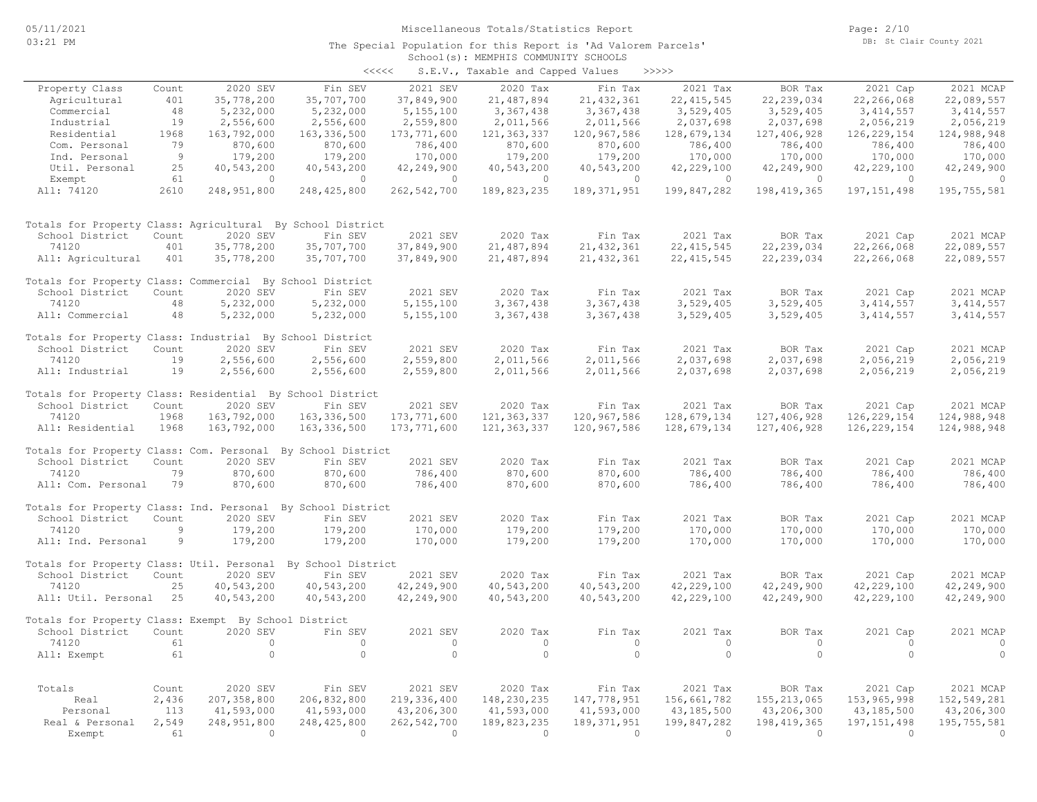#### School(s): MEMPHIS COMMUNITY SCHOOLS The Special Population for this Report is 'Ad Valorem Parcels'

| S.E.V., Taxable and Capped Values<br>くくくくく | >>>>> |  |  |  |
|--------------------------------------------|-------|--|--|--|
|--------------------------------------------|-------|--|--|--|

|                                                              |              |                |                           |                         |                           | ouppou rueuou             |                           |                             |                           |                           |
|--------------------------------------------------------------|--------------|----------------|---------------------------|-------------------------|---------------------------|---------------------------|---------------------------|-----------------------------|---------------------------|---------------------------|
| Property Class                                               | Count        | 2020 SEV       | Fin SEV                   | 2021 SEV                | 2020 Tax                  | Fin Tax                   | 2021 Tax                  | BOR Tax                     | 2021 Cap                  | 2021 MCAP                 |
| Agricultural                                                 | 401          | 35,778,200     | 35,707,700                | 37,849,900              | 21, 487, 894              | 21, 432, 361              | 22, 415, 545              | 22, 239, 034                | 22,266,068                | 22,089,557                |
| Commercial                                                   | 48           | 5,232,000      | 5,232,000                 | 5,155,100               | 3,367,438                 | 3,367,438                 | 3,529,405                 | 3,529,405                   | 3, 414, 557               | 3, 414, 557               |
| Industrial                                                   | 19           | 2,556,600      | 2,556,600                 | 2,559,800               | 2,011,566                 | 2,011,566                 | 2,037,698                 | 2,037,698                   | 2,056,219                 | 2,056,219                 |
| Residential                                                  | 1968         | 163,792,000    | 163, 336, 500             | 173,771,600             | 121, 363, 337             | 120,967,586               | 128,679,134               | 127,406,928                 | 126, 229, 154             | 124,988,948               |
| Com. Personal                                                | 79           | 870,600        | 870,600                   | 786,400                 | 870,600                   | 870,600                   | 786,400                   | 786,400                     | 786,400                   | 786,400                   |
| Ind. Personal                                                | 9            | 179,200        | 179,200                   | 170,000                 | 179,200                   | 179,200                   | 170,000                   | 170,000                     | 170,000                   | 170,000                   |
| Util. Personal                                               | 25           | 40,543,200     | 40,543,200                | 42,249,900              | 40,543,200                | 40,543,200                | 42,229,100                | 42,249,900                  | 42, 229, 100              | 42,249,900                |
| Exempt                                                       | 61           | $\overline{0}$ | $\circ$                   | $\circ$                 | $\circ$                   | $\circ$                   | $\circ$                   | $\circ$                     | $\circ$                   | $\circ$                   |
| All: 74120                                                   | 2610         | 248,951,800    | 248, 425, 800             | 262,542,700             | 189,823,235               | 189, 371, 951             | 199,847,282               | 198, 419, 365               | 197, 151, 498             | 195,755,581               |
| Totals for Property Class: Agricultural By School District   |              |                |                           |                         |                           |                           |                           |                             |                           |                           |
| School District                                              | Count        | 2020 SEV       | Fin SEV                   | 2021 SEV                | 2020 Tax                  | Fin Tax                   | 2021 Tax                  | BOR Tax                     | 2021 Cap                  | 2021 MCAP                 |
| 74120                                                        | 401          | 35,778,200     | 35,707,700                | 37,849,900              | 21, 487, 894              | 21, 432, 361              | 22, 415, 545              | 22, 239, 034                | 22,266,068                | 22,089,557                |
| All: Agricultural                                            | 401          | 35,778,200     | 35,707,700                | 37,849,900              | 21, 487, 894              | 21, 432, 361              | 22, 415, 545              | 22, 239, 034                | 22,266,068                | 22,089,557                |
| Totals for Property Class: Commercial By School District     |              |                |                           |                         |                           |                           |                           |                             |                           |                           |
| School District                                              | Count        | 2020 SEV       | Fin SEV                   | 2021 SEV                | 2020 Tax                  | Fin Tax                   | 2021 Tax                  | BOR Tax                     | 2021 Cap                  | 2021 MCAP                 |
| 74120                                                        | 48           | 5,232,000      | 5,232,000                 | 5, 155, 100             | 3,367,438                 | 3,367,438                 | 3,529,405                 | 3,529,405                   | 3, 414, 557               | 3, 414, 557               |
| All: Commercial                                              | 48           | 5,232,000      | 5,232,000                 | 5, 155, 100             | 3,367,438                 | 3,367,438                 | 3,529,405                 | 3,529,405                   | 3, 414, 557               | 3, 414, 557               |
| Totals for Property Class: Industrial By School District     |              |                |                           |                         |                           |                           |                           |                             |                           |                           |
| School District                                              | Count        | 2020 SEV       | Fin SEV                   | 2021 SEV                | 2020 Tax                  | Fin Tax                   | 2021 Tax                  | BOR Tax                     | 2021 Cap                  | 2021 MCAP                 |
| 74120                                                        | 19           | 2,556,600      | 2,556,600                 | 2,559,800               | 2,011,566                 | 2,011,566                 | 2,037,698                 | 2,037,698                   | 2,056,219                 | 2,056,219                 |
| All: Industrial                                              | 19           | 2,556,600      | 2,556,600                 | 2,559,800               | 2,011,566                 | 2,011,566                 | 2,037,698                 | 2,037,698                   | 2,056,219                 | 2,056,219                 |
| Totals for Property Class: Residential By School District    |              |                |                           |                         |                           |                           |                           |                             |                           |                           |
| School District                                              | Count        | 2020 SEV       | Fin SEV                   | 2021 SEV                | 2020 Tax                  | Fin Tax                   | 2021 Tax                  | BOR Tax                     | 2021 Cap                  | 2021 MCAP                 |
| 74120                                                        | 1968         | 163,792,000    | 163, 336, 500             | 173,771,600             | 121, 363, 337             | 120,967,586               | 128,679,134               | 127,406,928                 | 126, 229, 154             | 124,988,948               |
| All: Residential                                             | 1968         | 163,792,000    | 163,336,500               | 173,771,600             | 121, 363, 337             | 120,967,586               | 128,679,134               | 127,406,928                 | 126, 229, 154             | 124,988,948               |
| Totals for Property Class: Com. Personal By School District  |              |                |                           |                         |                           |                           |                           |                             |                           |                           |
| School District                                              | Count        | 2020 SEV       | Fin SEV                   | 2021 SEV                | 2020 Tax                  | Fin Tax                   | 2021 Tax                  | BOR Tax                     | 2021 Cap                  | 2021 MCAP                 |
| 74120                                                        | 79           | 870,600        | 870,600                   | 786,400                 | 870,600                   | 870,600                   | 786,400                   | 786,400                     | 786,400                   | 786,400                   |
| All: Com. Personal                                           | 79           | 870,600        | 870,600                   | 786,400                 | 870,600                   | 870,600                   | 786,400                   | 786,400                     | 786,400                   | 786,400                   |
| Totals for Property Class: Ind. Personal By School District  |              |                |                           |                         |                           |                           |                           |                             |                           |                           |
| School District                                              | Count        | 2020 SEV       | Fin SEV                   | 2021 SEV                | 2020 Tax                  | Fin Tax                   | 2021 Tax                  | BOR Tax                     | 2021 Cap                  | 2021 MCAP                 |
| 74120                                                        | 9            | 179,200        | 179,200                   | 170,000                 | 179,200                   | 179,200                   | 170,000                   | 170,000                     | 170,000                   | 170,000                   |
| All: Ind. Personal                                           | 9            | 179,200        | 179,200                   | 170,000                 | 179,200                   | 179,200                   | 170,000                   | 170,000                     | 170,000                   | 170,000                   |
| Totals for Property Class: Util. Personal By School District |              |                |                           |                         |                           |                           |                           |                             |                           |                           |
| School District                                              | Count        | 2020 SEV       | Fin SEV                   | 2021 SEV                | 2020 Tax                  | Fin Tax                   | 2021 Tax                  | BOR Tax                     | 2021 Cap                  | 2021 MCAP                 |
| 74120                                                        | 25           | 40,543,200     | 40,543,200                | 42,249,900              | 40,543,200                | 40,543,200                | 42,229,100                | 42,249,900                  | 42,229,100                | 42,249,900                |
| All: Util. Personal                                          | 25           | 40,543,200     | 40,543,200                | 42,249,900              | 40,543,200                | 40,543,200                | 42,229,100                | 42,249,900                  | 42, 229, 100              | 42,249,900                |
| Totals for Property Class: Exempt By School District         |              |                |                           |                         |                           |                           |                           |                             |                           |                           |
| School District                                              | Count        | 2020 SEV       | Fin SEV                   | 2021 SEV                | 2020 Tax                  | Fin Tax                   | 2021 Tax                  | BOR Tax                     | 2021 Cap                  | 2021 MCAP                 |
| 74120                                                        | 61           | $\circ$        | $\circ$                   | $\circ$                 | $\circ$                   | $\circ$                   | $\circ$                   | $\circ$                     | $\circ$                   | $\circ$                   |
| All: Exempt                                                  | 61           | $\circ$        | $\circ$                   | $\circ$                 | $\circ$                   | $\circ$                   | $\circ$                   | $\circ$                     | $\circ$                   | $\circ$                   |
|                                                              |              | 2020 SEV       |                           |                         |                           |                           |                           |                             |                           |                           |
| Totals                                                       | Count        | 207, 358, 800  | Fin SEV                   | 2021 SEV<br>219,336,400 | 2020 Tax                  | Fin Tax                   | 2021 Tax                  | BOR Tax                     | 2021 Cap                  | 2021 MCAP                 |
| Real<br>Personal                                             | 2,436<br>113 | 41,593,000     | 206,832,800<br>41,593,000 | 43,206,300              | 148,230,235<br>41,593,000 | 147,778,951<br>41,593,000 | 156,661,782<br>43,185,500 | 155, 213, 065<br>43,206,300 | 153,965,998<br>43,185,500 | 152,549,281<br>43,206,300 |
| Real & Personal                                              | 2,549        | 248,951,800    | 248, 425, 800             | 262, 542, 700           | 189,823,235               | 189, 371, 951             | 199,847,282               | 198, 419, 365               | 197, 151, 498             | 195,755,581               |
| Exempt                                                       | 61           | $\bigcirc$     | $\bigcirc$                | $\Omega$                | $\Omega$                  | $\bigcirc$                | $\Omega$                  | $\overline{0}$              | $\Omega$                  | $\Omega$                  |
|                                                              |              |                |                           |                         |                           |                           |                           |                             |                           |                           |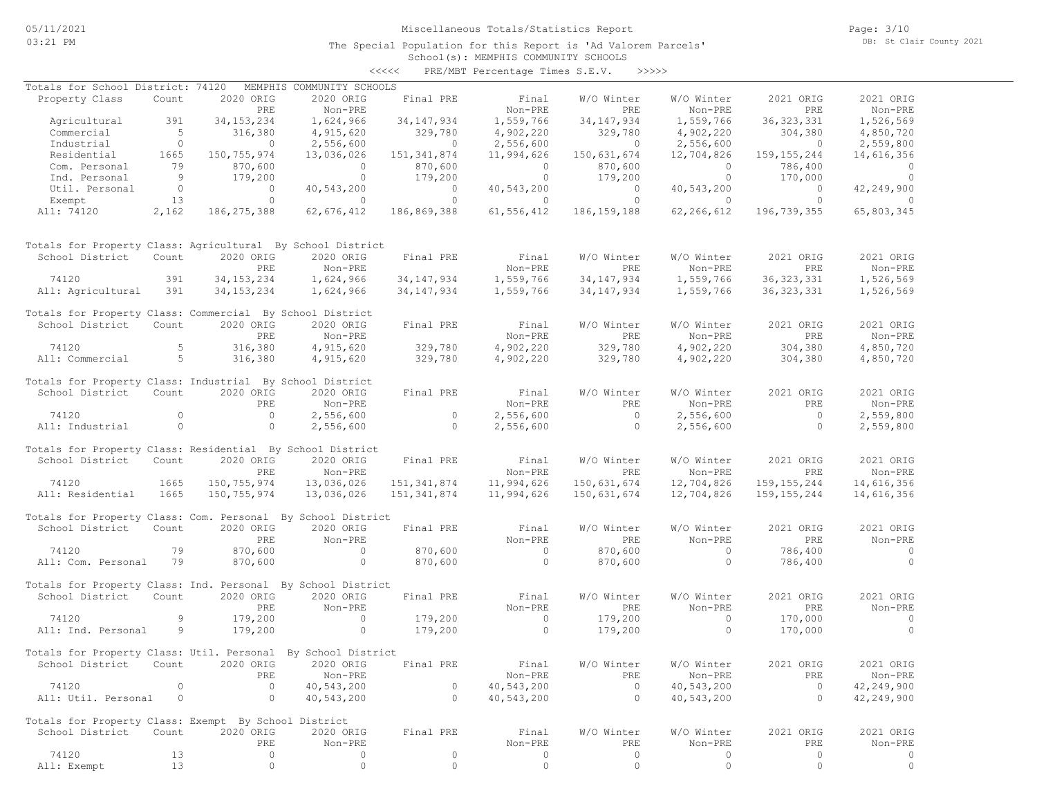# Miscellaneous Totals/Statistics Report

The Special Population for this Report is 'Ad Valorem Parcels'

Page: 3/10 DB: St Clair County 2021

## School(s): MEMPHIS COMMUNITY SCHOOLS <<<<< PRE/MBT Percentage Times S.E.V. >>>>>

| Totals for School District: 74120                                             |                |                | MEMPHIS COMMUNITY SCHOOLS |                |                          |                |                          |                |                          |
|-------------------------------------------------------------------------------|----------------|----------------|---------------------------|----------------|--------------------------|----------------|--------------------------|----------------|--------------------------|
| Property Class                                                                | Count          | 2020 ORIG      | 2020 ORIG                 | Final PRE      | Final                    | W/O Winter     | W/O Winter               | 2021 ORIG      | 2021 ORIG                |
|                                                                               |                | PRE            | Non-PRE                   |                | Non-PRE                  | PRE            | Non-PRE                  | PRE            | Non-PRE                  |
| Agricultural                                                                  | 391            | 34, 153, 234   | 1,624,966                 | 34, 147, 934   | 1,559,766                | 34, 147, 934   | 1,559,766                | 36, 323, 331   | 1,526,569                |
| Commercial                                                                    | $5^{\circ}$    | 316,380        | 4,915,620                 | 329,780        | 4,902,220                | 329,780        | 4,902,220                | 304,380        | 4,850,720                |
| Industrial                                                                    | $\overline{0}$ | $\overline{0}$ | 2,556,600                 | $\overline{0}$ | 2,556,600                | $\overline{0}$ | 2,556,600                | $\overline{0}$ | 2,559,800                |
| Residential                                                                   | 1665           | 150,755,974    | 13,036,026                | 151, 341, 874  | 11,994,626               | 150,631,674    | 12,704,826               | 159, 155, 244  | 14,616,356               |
| Com. Personal                                                                 | 79             | 870,600        | $\overline{0}$            | 870,600        | $\overline{0}$           | 870,600        | $\overline{0}$           | 786,400        | 0                        |
| Ind. Personal                                                                 | $\overline{9}$ | 179,200        | $\circ$                   | 179,200        | $\overline{0}$           | 179,200        | $\overline{0}$           | 170,000        | $\Omega$                 |
| Util. Personal                                                                | $\overline{0}$ | $\circ$        | 40,543,200                | $\overline{0}$ | 40,543,200               | $\overline{0}$ | 40,543,200               | $\overline{0}$ | 42,249,900               |
| Exempt                                                                        | 13             | $\circ$        | $\overline{0}$            | $\circ$        | $\overline{0}$           | $\overline{0}$ | $\overline{0}$           | $\Omega$       | $\Omega$                 |
| All: 74120                                                                    | 2,162          | 186,275,388    | 62,676,412                | 186,869,388    | 61,556,412               | 186, 159, 188  | 62,266,612               | 196,739,355    | 65,803,345               |
|                                                                               |                |                |                           |                |                          |                |                          |                |                          |
| Totals for Property Class: Agricultural By School District<br>School District | Count          | 2020 ORIG      | 2020 ORIG                 | Final PRE      | Final                    | W/O Winter     | W/O Winter               | 2021 ORIG      | 2021 ORIG                |
|                                                                               |                | PRE            |                           |                | Non-PRE                  | PRE            |                          | PRE            |                          |
|                                                                               |                |                | Non-PRE                   |                |                          |                | Non-PRE<br>1,559,766     |                | Non-PRE                  |
| 74120                                                                         | 391            | 34, 153, 234   | 1,624,966                 | 34, 147, 934   | 1,559,766                | 34, 147, 934   |                          | 36, 323, 331   | 1,526,569                |
| All: Agricultural                                                             | 391            | 34, 153, 234   | 1,624,966                 | 34,147,934     | 1,559,766                | 34, 147, 934   | 1,559,766                | 36, 323, 331   | 1,526,569                |
| Totals for Property Class: Commercial By School District                      |                |                |                           |                |                          |                |                          |                |                          |
| School District                                                               | Count          | 2020 ORIG      | 2020 ORIG                 | Final PRE      | Final                    | W/O Winter     | W/O Winter               | 2021 ORIG      | 2021 ORIG                |
|                                                                               |                | PRE            | Non-PRE                   |                | Non-PRE                  | PRE            | Non-PRE                  | PRE            | Non-PRE                  |
| 74120                                                                         | 5              | 316,380        | 4,915,620                 | 329,780        | 4,902,220                | 329,780        | 4,902,220                | 304,380        | 4,850,720                |
| All: Commercial                                                               | $5^{\circ}$    | 316,380        | 4,915,620                 | 329,780        | 4,902,220                | 329,780        | 4,902,220                | 304,380        | 4,850,720                |
| Totals for Property Class: Industrial By School District                      |                |                |                           |                |                          |                |                          |                |                          |
| School District                                                               | Count          | 2020 ORIG      | 2020 ORIG                 | Final PRE      | Final                    | W/O Winter     | W/O Winter               | 2021 ORIG      | 2021 ORIG                |
|                                                                               |                | PRE            | Non-PRE                   |                | Non-PRE                  | PRE            | Non-PRE                  | PRE            | Non-PRE                  |
| 74120                                                                         | $\Omega$       | $\overline{0}$ | 2,556,600                 | $\circ$        | 2,556,600                | $\bigcirc$     | 2,556,600                | $\bigcirc$     | 2,559,800                |
| All: Industrial                                                               | $\circ$        | $\circ$        | 2,556,600                 | $\sim$ 0       | 2,556,600                | $\overline{0}$ | 2,556,600                | $\bigcirc$     | 2,559,800                |
| Totals for Property Class: Residential By School District                     |                |                |                           |                |                          |                |                          |                |                          |
| School District                                                               | Count          | 2020 ORIG      | 2020 ORIG                 | Final PRE      | Final                    | W/O Winter     | W/O Winter               | 2021 ORIG      | 2021 ORIG                |
|                                                                               |                | PRE            | Non-PRE                   |                | Non-PRE                  | <b>PRE</b>     | Non-PRE                  | PRE            | Non-PRE                  |
| 74120                                                                         | 1665           | 150,755,974    | 13,036,026                | 151, 341, 874  | 11,994,626               | 150,631,674    | 12,704,826               | 159, 155, 244  | 14,616,356               |
| All: Residential                                                              | 1665           | 150,755,974    | 13,036,026                | 151, 341, 874  | 11,994,626               | 150,631,674    | 12,704,826               | 159, 155, 244  | 14,616,356               |
|                                                                               |                |                |                           |                |                          |                |                          |                |                          |
| Totals for Property Class: Com. Personal By School District                   |                |                |                           |                |                          |                |                          |                |                          |
| School District                                                               | Count          | 2020 ORIG      | 2020 ORIG                 | Final PRE      | Final                    | W/O Winter     | W/O Winter               | 2021 ORIG      | 2021 ORIG                |
|                                                                               |                | PRE            | Non-PRE                   |                | Non-PRE                  | PRE            | Non-PRE                  | PRE            | Non-PRE                  |
| 74120                                                                         | 79             | 870,600        | $\circ$                   | 870,600        | $\sim$ 0                 | 870,600        | $\circ$                  | 786,400        | $\sim$ 0                 |
| All: Com. Personal                                                            | 79             | 870,600        | $\circ$                   | 870,600        | $\overline{0}$           | 870,600        | $\circ$                  | 786,400        | $\circ$                  |
| Totals for Property Class: Ind. Personal By School District                   |                |                |                           |                |                          |                |                          |                |                          |
| School District                                                               | Count          | 2020 ORIG      | 2020 ORIG                 | Final PRE      | Final                    | W/O Winter     | W/O Winter               | 2021 ORIG      | 2021 ORIG                |
|                                                                               |                | PRE            | Non-PRE                   |                | Non-PRE                  | PRE            | Non-PRE                  | PRE            | Non-PRE                  |
| 74120                                                                         | 9              | 179,200        | $\circ$                   | 179,200        | $\overline{0}$           | 179,200        | $\circ$                  | 170,000        | $\circ$                  |
| All: Ind. Personal                                                            | 9              | 179,200        | $\circ$                   | 179,200        | $\circ$                  | 179,200        | $\circ$                  | 170,000        | $\Omega$                 |
| Totals for Property Class: Util. Personal By School District                  |                |                |                           |                |                          |                |                          |                |                          |
| School District Count 2020 ORIG 2020 ORIG Final PRE                           |                |                |                           |                | Final                    | W/O Winter     | W/O Winter               | 2021 ORIG      | 2021 ORIG                |
|                                                                               |                | PRE            | Non-PRE                   |                | Non-PRE                  | PRE            | Non-PRE                  | PRE            | Non-PRE                  |
| 74120                                                                         | $\circ$        | $\circ$        | 40,543,200                | $\circ$        |                          | $\circ$        |                          | $\overline{0}$ |                          |
| All: Util. Personal                                                           | $\circ$        | $\circ$        | 40,543,200                | $\circ$        | 40,543,200<br>40,543,200 | $\circ$        | 40,543,200<br>40,543,200 | $\circ$        | 42,249,900<br>42,249,900 |
|                                                                               |                |                |                           |                |                          |                |                          |                |                          |
| Totals for Property Class: Exempt By School District                          |                |                |                           |                |                          |                |                          |                |                          |
| School District                                                               | Count          | 2020 ORIG      | 2020 ORIG                 | Final PRE      | Final                    | W/O Winter     | W/O Winter               | 2021 ORIG      | 2021 ORIG                |
|                                                                               |                | PRE            | Non-PRE                   |                | Non-PRE                  | PRE            | Non-PRE                  | PRE            | Non-PRE                  |
| 74120                                                                         | 13             | $\circ$        | 0                         | $\circ$        | 0                        | $\circ$        | 0                        | $\circ$        | 0                        |
| All: Exempt                                                                   | 13             | $\circ$        | $\circ$                   | $\circ$        | $\circ$                  | $\circ$        | $\circ$                  | $\circ$        | $\circ$                  |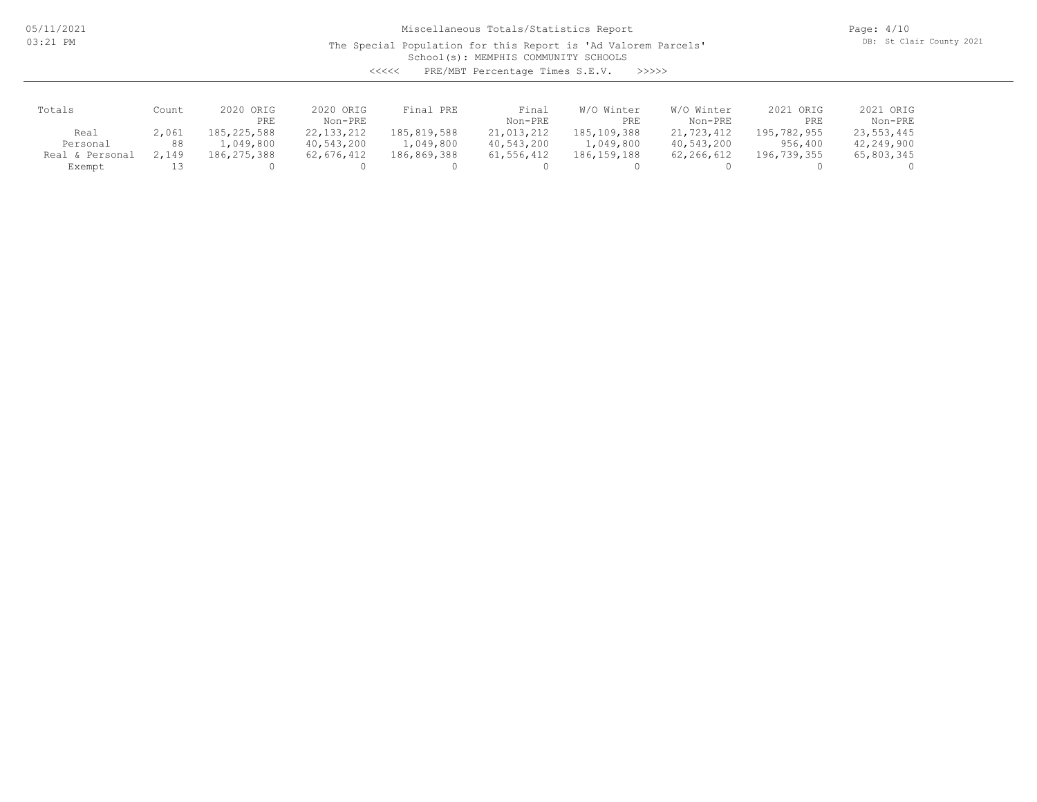05/11/2021 03:21 PM

Miscellaneous Totals/Statistics Report

The Special Population for this Report is 'Ad Valorem Parcels'

Page: 4/10 DB: St Clair County 2021

School(s): MEMPHIS COMMUNITY SCHOOLS

<<<<< PRE/MBT Percentage Times S.E.V. >>>>>

| Totals          | Count | 2020 ORIG<br>PRE | 2020 ORIG<br>Non-PRE | Final PRE   | Final<br>Non-PRE | W/O Winter<br>PRE | W/O Winter<br>Non-PRE | 2021 ORIG<br>PRE | 2021 ORIG<br>Non-PRE |
|-----------------|-------|------------------|----------------------|-------------|------------------|-------------------|-----------------------|------------------|----------------------|
| Real            | 2,061 | 185,225,588      | 22, 133, 212         | 185,819,588 | 21,013,212       | 185,109,388       | 21,723,412            | 195,782,955      | 23,553,445           |
| Personal        | 88    | 049,800 ـ        | 40,543,200           | 049,800 ن   | 40,543,200       | 1,049,800         | 40,543,200            | 956,400          | 42,249,900           |
| Real & Personal | 2,149 | 186,275,388      | 62,676,412           | 186,869,388 | 61,556,412       | 186, 159, 188     | 62,266,612            | 196,739,355      | 65,803,345           |
| Exempt          |       |                  |                      |             |                  |                   |                       |                  |                      |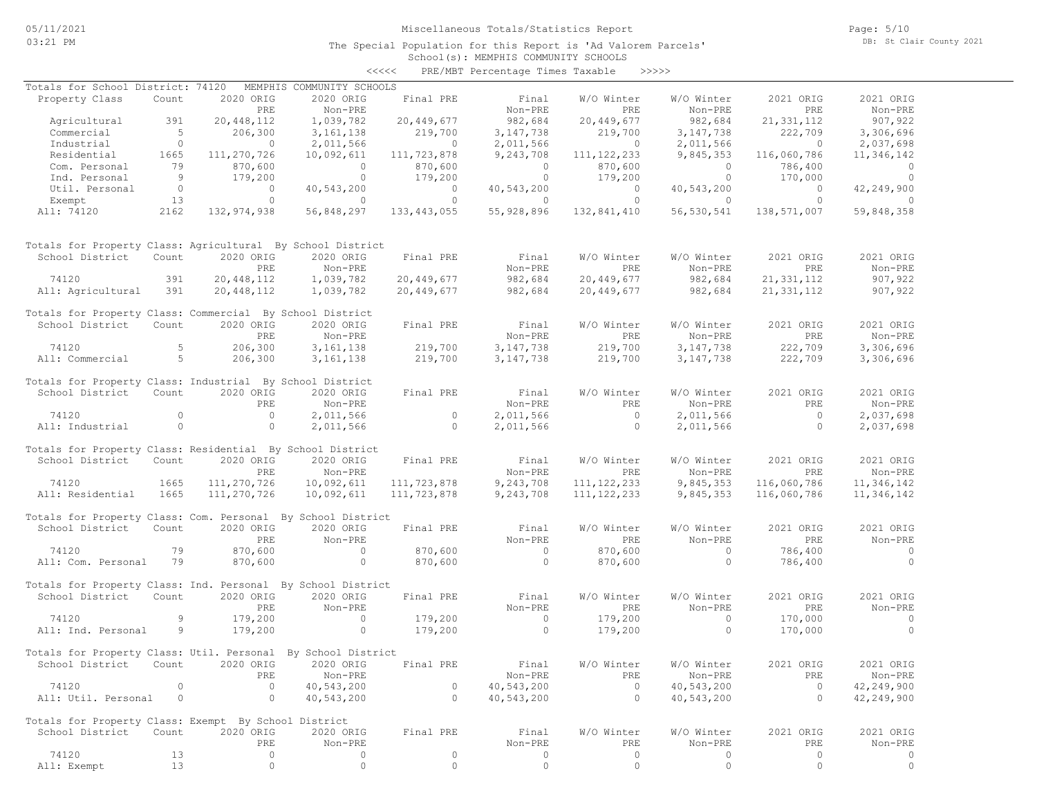# Miscellaneous Totals/Statistics Report

School(s): MEMPHIS COMMUNITY SCHOOLS The Special Population for this Report is 'Ad Valorem Parcels' Page: 5/10 DB: St Clair County 2021

<<<<< PRE/MBT Percentage Times Taxable >>>>>

| Totals for School District: 74120                            |                |                | MEMPHIS COMMUNITY SCHOOLS |                                                               |                |                |                           |                |                          |
|--------------------------------------------------------------|----------------|----------------|---------------------------|---------------------------------------------------------------|----------------|----------------|---------------------------|----------------|--------------------------|
| Property Class                                               | Count          | 2020 ORIG      | 2020 ORIG                 | Final PRE                                                     | Final          | W/O Winter     | W/O Winter                | 2021 ORIG      | 2021 ORIG                |
|                                                              |                | PRE            | Non-PRE                   |                                                               | Non-PRE        | PRE            | Non-PRE                   | PRE            | Non-PRE                  |
| Agricultural                                                 | 391            | 20,448,112     | 1,039,782                 | 20,449,677                                                    | 982,684        | 20,449,677     | 982,684                   | 21, 331, 112   | 907,922                  |
|                                                              | $5^{\circ}$    | 206,300        |                           | 219,700                                                       |                | 219,700        |                           | 222,709        |                          |
| Commercial                                                   |                |                | 3, 161, 138               |                                                               | 3, 147, 738    |                | 3, 147, 738               |                | 3,306,696                |
| Industrial                                                   | $\overline{0}$ | $\overline{0}$ | 2,011,566                 | $\circ$                                                       | 2,011,566      | $\overline{0}$ | 2,011,566                 | $\overline{0}$ | 2,037,698                |
| Residential                                                  | 1665           | 111,270,726    | 10,092,611                | 111,723,878                                                   | 9,243,708      | 111, 122, 233  | 9,845,353                 | 116,060,786    | 11,346,142               |
| Com. Personal                                                | 79             | 870,600        | $\overline{0}$            | 870,600                                                       | $\overline{0}$ | 870,600        | $\overline{0}$            | 786,400        | $\overline{\phantom{0}}$ |
| Ind. Personal                                                | 9              | 179,200        | $\overline{0}$            | 179,200                                                       | $\overline{0}$ | 179,200        | $\overline{0}$            | 170,000        | $\overline{0}$           |
| Util. Personal                                               | $\overline{0}$ | $\overline{0}$ | 40,543,200                | $\overline{0}$                                                | 40,543,200     | $\overline{0}$ | 40,543,200                | $\overline{0}$ | 42,249,900               |
| Exempt                                                       | 13             | $\circ$        | $\overline{0}$            | $\overline{0}$                                                | $\overline{0}$ | $\overline{0}$ | $\overline{0}$            | $\overline{0}$ | $\overline{0}$           |
| All: 74120                                                   | 2162           | 132,974,938    | 56,848,297                | 133,443,055                                                   | 55,928,896     | 132,841,410    | 56,530,541                | 138,571,007    | 59,848,358               |
| Totals for Property Class: Agricultural By School District   |                |                |                           |                                                               |                |                |                           |                |                          |
| School District                                              | Count          | 2020 ORIG      | 2020 ORIG                 | Final PRE                                                     | Final          | W/O Winter     | W/O Winter                | 2021 ORIG      | 2021 ORIG                |
|                                                              |                | PRE            | Non-PRE                   |                                                               | Non-PRE        | PRE            | Non-PRE                   | PRE            | Non-PRE                  |
| 74120                                                        | 391            | 20, 448, 112   | 1,039,782                 | 20,449,677                                                    | 982,684        | 20,449,677     | 982,684                   | 21, 331, 112   | 907,922                  |
| All: Agricultural                                            | 391            | 20,448,112     | 1,039,782                 | 20,449,677                                                    | 982,684        | 20,449,677     | 982,684                   | 21, 331, 112   | 907,922                  |
| Totals for Property Class: Commercial By School District     |                |                |                           |                                                               |                |                |                           |                |                          |
| School District                                              | Count          | 2020 ORIG      | 2020 ORIG                 | Final PRE                                                     | Final          | W/O Winter     | W/O Winter                | 2021 ORIG      | 2021 ORIG                |
|                                                              |                | PRE            | Non-PRE                   |                                                               | Non-PRE        | PRE            | Non-PRE                   | PRE            | Non-PRE                  |
| 74120                                                        | 5              | 206,300        | 3, 161, 138               | 219,700                                                       | 3, 147, 738    | 219,700        | 3, 147, 738               | 222,709        | 3,306,696                |
| All: Commercial                                              | $5^{\circ}$    | 206,300        | 3, 161, 138               | 219,700                                                       | 3, 147, 738    | 219,700        | 3, 147, 738               | 222,709        | 3,306,696                |
| Totals for Property Class: Industrial By School District     |                |                |                           |                                                               |                |                |                           |                |                          |
| School District                                              | Count          | 2020 ORIG      | 2020 ORIG                 | Final PRE                                                     | Final          | W/O Winter     | W/O Winter                | 2021 ORIG      | 2021 ORIG                |
|                                                              |                | PRE            | Non-PRE                   |                                                               | Non-PRE        | PRE            | Non-PRE                   | PRE            | Non-PRE                  |
| 74120                                                        | $\circ$        | $\overline{0}$ | 2,011,566                 | $\circ$                                                       | 2,011,566      | $\overline{0}$ | 2,011,566                 | $\bigcirc$     | 2,037,698                |
| All: Industrial                                              | $\circ$        | $\circ$        | 2,011,566                 | $\sim$ 000 $\sim$ 000 $\sim$ 000 $\sim$ 000 $\sim$ 000 $\sim$ | 2,011,566      | $\overline{0}$ | 2,011,566                 | $\overline{0}$ | 2,037,698                |
|                                                              |                |                |                           |                                                               |                |                |                           |                |                          |
| Totals for Property Class: Residential By School District    |                |                |                           |                                                               |                |                |                           |                |                          |
| School District                                              | Count          | 2020 ORIG      | 2020 ORIG                 | Final PRE                                                     | Final          | W/O Winter     | W/O Winter                | 2021 ORIG      | 2021 ORIG                |
|                                                              |                | PRE            | Non-PRE                   |                                                               | Non-PRE        | PRE            | Non-PRE                   | <b>PRE</b>     | Non-PRE                  |
| 74120                                                        | 1665           | 111,270,726    | 10,092,611                | 111,723,878                                                   | 9,243,708      |                | 111, 122, 233 9, 845, 353 | 116,060,786    | 11,346,142               |
| All: Residential                                             | 1665           | 111,270,726    | 10,092,611                | 111,723,878                                                   | 9,243,708      | 111, 122, 233  | 9,845,353                 | 116,060,786    | 11,346,142               |
| Totals for Property Class: Com. Personal By School District  |                |                |                           |                                                               |                |                |                           |                |                          |
| School District                                              | Count          | 2020 ORIG      | 2020 ORIG                 | Final PRE                                                     | Final          | W/O Winter     | W/O Winter                | 2021 ORIG      | 2021 ORIG                |
|                                                              |                | PRE            | Non-PRE                   |                                                               | Non-PRE        | PRE            | Non-PRE                   | PRE            | Non-PRE                  |
| 74120                                                        | 79             | 870,600        | $\sim$ 0                  | 870,600                                                       | $\sim$ 0       | 870,600        | $\circ$                   | 786,400        | $\sim$ 0                 |
| All: Com. Personal                                           | 79             | 870,600        | $\circ$                   | 870,600                                                       | $\circ$        | 870,600        | $\circ$                   | 786,400        | $\circ$                  |
| Totals for Property Class: Ind. Personal By School District  |                |                |                           |                                                               |                |                |                           |                |                          |
| School District                                              | Count          | 2020 ORIG      | 2020 ORIG                 | Final PRE                                                     | Final          | W/O Winter     | W/O Winter                | 2021 ORIG      | 2021 ORIG                |
|                                                              |                | PRE            | Non-PRE                   |                                                               | Non-PRE        | PRE            | Non-PRE                   | PRE            | Non-PRE                  |
| 74120                                                        | 9              | 179,200        | $\circ$                   | 179,200                                                       | $\circ$        | 179,200        | $\circ$                   | 170,000        | $\circ$                  |
| All: Ind. Personal                                           | 9              | 179,200        | $\circ$                   | 179,200                                                       | $\overline{0}$ | 179,200        | $\circ$                   | 170,000        | $\circ$                  |
|                                                              |                |                |                           |                                                               |                |                |                           |                |                          |
| Totals for Property Class: Util. Personal By School District |                |                |                           |                                                               |                |                |                           |                |                          |
| School District Count 2020 ORIG 2020 ORIG Final PRE          |                |                |                           |                                                               | Final          | W/O Winter     | W/O Winter                | 2021 ORIG      | 2021 ORIG                |
|                                                              |                | PRE            | Non-PRE                   |                                                               | Non-PRE        | PRE            | Non-PRE                   | PRE            | Non-PRE                  |
| 74120                                                        | $\circ$        | $\circ$        | 40,543,200                | $\circ$                                                       | 40,543,200     | $\circ$        | 40,543,200                | $\overline{0}$ | 42,249,900               |
| All: Util. Personal                                          | $\circ$        | $\circ$        | 40,543,200                | $\circ$                                                       | 40,543,200     | $\circ$        | 40,543,200                | $\circ$        | 42,249,900               |
| Totals for Property Class: Exempt By School District         |                |                |                           |                                                               |                |                |                           |                |                          |
| School District                                              | Count          | 2020 ORIG      | 2020 ORIG                 | Final PRE                                                     | Final          | W/O Winter     | W/O Winter                | 2021 ORIG      | 2021 ORIG                |
|                                                              |                | PRE            | Non-PRE                   |                                                               | Non-PRE        | PRE            | Non-PRE                   | PRE            | Non-PRE                  |
| 74120                                                        | 13             | $\circ$        | 0                         | $\circ$                                                       | $\circ$        | $\circ$        | $\circ$                   | $\circ$        | 0                        |
| All: Exempt                                                  | 13             | $\circ$        | $\circ$                   | $\circ$                                                       | $\circ$        | $\circ$        | $\circ$                   | $\circ$        | $\circ$                  |
|                                                              |                |                |                           |                                                               |                |                |                           |                |                          |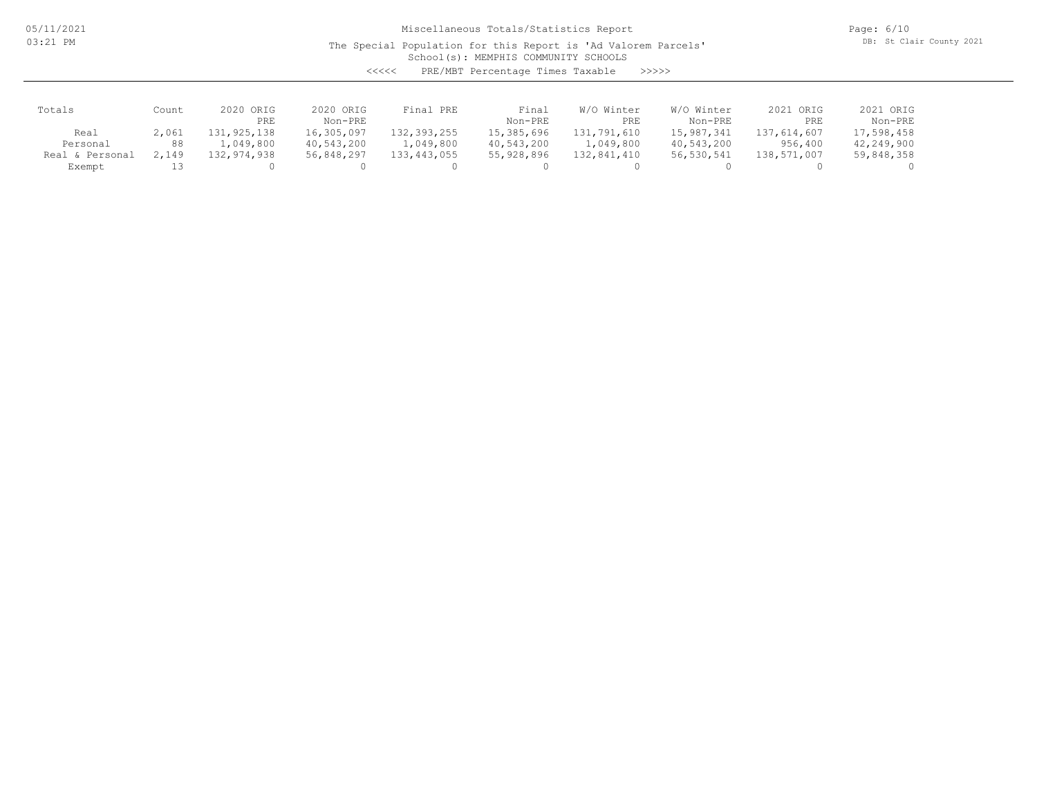05/11/2021 03:21 PM

Miscellaneous Totals/Statistics Report

The Special Population for this Report is 'Ad Valorem Parcels'

Page: 6/10 DB: St Clair County 2021

School(s): MEMPHIS COMMUNITY SCHOOLS

<<<<< PRE/MBT Percentage Times Taxable >>>>>

| Totals             | Count | 2020 ORIG<br>PRE | 2020 ORIG<br>Non-PRE | Final PRE   | Final<br>Non-PRE | Winter<br>W/O<br>PRE | W/O Winter<br>Non-PRE | 2021 ORIG<br>PRE | 2021 ORIG<br>Non-PRE |
|--------------------|-------|------------------|----------------------|-------------|------------------|----------------------|-----------------------|------------------|----------------------|
| Real               | 2,061 | 131,925,138      | 16,305,097           | 132,393,255 | 15,385,696       | 131,791,610          | 15,987,341            | 137,614,607      | 17,598,458           |
| Personal           | 88    | 1,049,800        | 40,543,200           | L,049,800   | 40,543,200       | 1,049,800            | 40,543,200            | 956,400          | 42,249,900           |
| & Personal<br>Real | 2,149 | 132,974,938      | 56,848,297           | 133,443,055 | 55,928,896       | 132,841,410          | 56,530,541            | 138,571,007      | 59,848,358           |
| Exempt             |       |                  |                      |             |                  |                      |                       |                  |                      |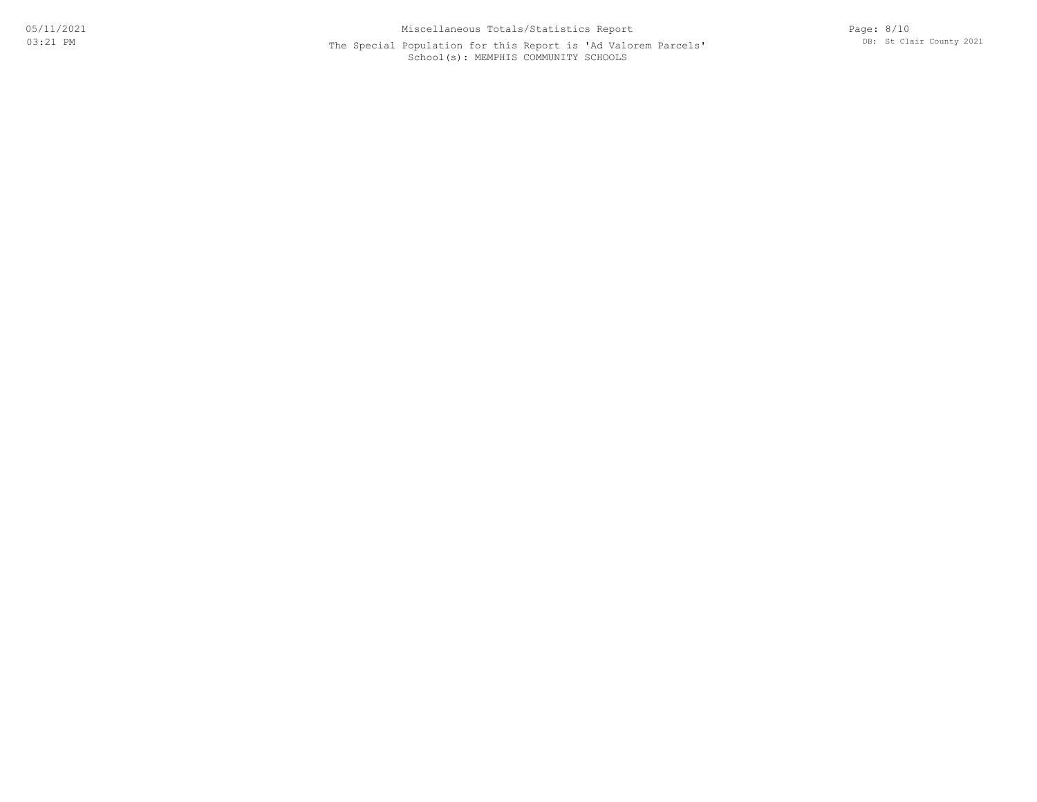#### School(s): MEMPHIS COMMUNITY SCHOOLS The Special Population for this Report is 'Ad Valorem Parcels'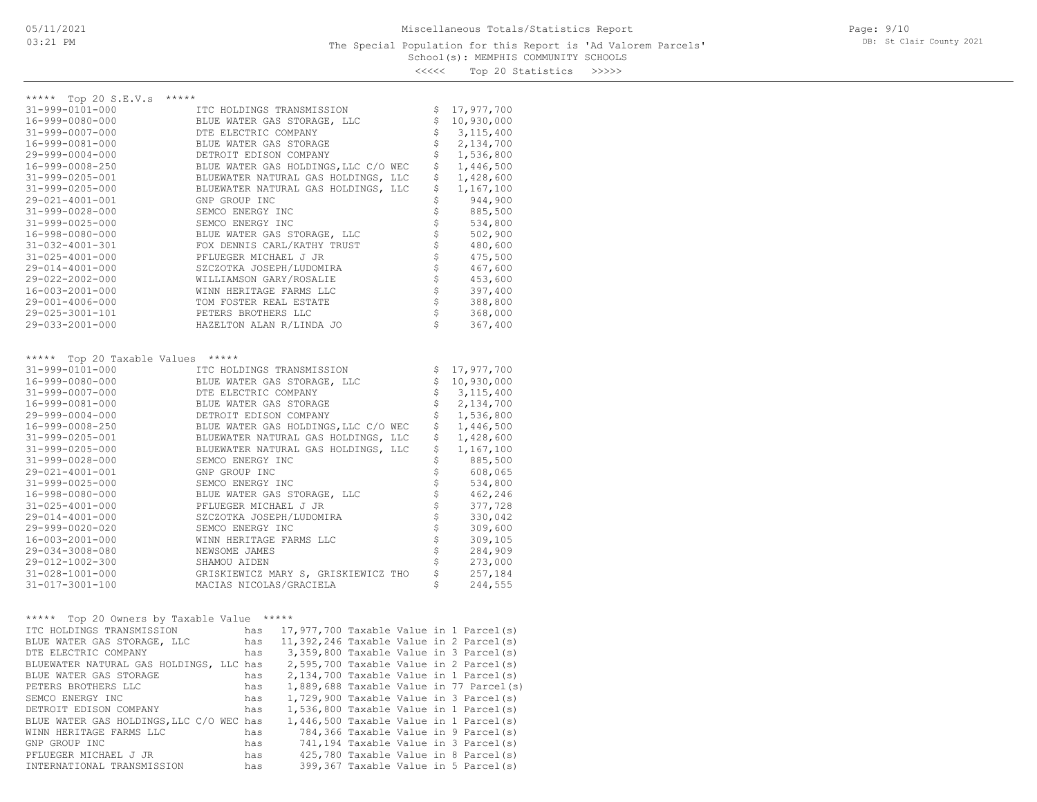<<<<< Top 20 Statistics >>>>>

| ***** Top 20 S.E.V.s<br>*****<br>31-999-0101-000 | ITC HOLDINGS TRANSMISSION                                                               | \$<br>17,977,700         |
|--------------------------------------------------|-----------------------------------------------------------------------------------------|--------------------------|
| 16-999-0080-000                                  | BLUE WATER GAS STORAGE, LLC                                                             | \$<br>10,930,000         |
| $31 - 999 - 0007 - 000$                          | DTE ELECTRIC COMPANY                                                                    | \$<br>3, 115, 400        |
| 16-999-0081-000                                  | BLUE WATER GAS STORAGE                                                                  | \$<br>2,134,700          |
| 29-999-0004-000                                  | DETROIT EDISON COMPANY                                                                  | \$<br>1,536,800          |
| 16-999-0008-250                                  | BLUE WATER GAS HOLDINGS, LLC C/O WEC                                                    | \$<br>1,446,500          |
| 31-999-0205-001                                  | BLUEWATER NATURAL GAS HOLDINGS, LLC                                                     | \$<br>1,428,600          |
| 31-999-0205-000                                  | BLUEWATER NATURAL GAS HOLDINGS, LLC                                                     | \$<br>1,167,100          |
| 29-021-4001-001                                  | GNP GROUP INC                                                                           | \$<br>944,900            |
| $31 - 999 - 0028 - 000$                          | SEMCO ENERGY INC                                                                        | \$<br>885,500            |
| 31-999-0025-000                                  | SEMCO ENERGY INC                                                                        | 534,800                  |
| 16-998-0080-000                                  | BLUE WATER GAS STORAGE, LLC                                                             | \$<br>502,900            |
| $31 - 032 - 4001 - 301$                          | FOX DENNIS CARL/KATHY TRUST                                                             | \$\$\$<br>480,600        |
| $31 - 025 - 4001 - 000$                          | PFLUEGER MICHAEL J JR                                                                   | 475,500                  |
| 29-014-4001-000                                  | SZCZOTKA JOSEPH/LUDOMIRA                                                                | 467,600                  |
| 29-022-2002-000                                  | WILLIAMSON GARY/ROSALIE                                                                 | \$<br>453,600            |
| 16-003-2001-000                                  | WINN HERITAGE FARMS LLC                                                                 | \$<br>397,400<br>\$      |
| 29-001-4006-000<br>29-025-3001-101               | TOM FOSTER REAL ESTATE<br>PETERS BROTHERS LLC                                           | 388,800<br>\$<br>368,000 |
| 29-033-2001-000                                  | HAZELTON ALAN R/LINDA JO                                                                | Ś<br>367,400             |
|                                                  |                                                                                         |                          |
|                                                  |                                                                                         |                          |
| ***** Top 20 Taxable Values *****                |                                                                                         | 17,977,700               |
| 31-999-0101-000<br>16-999-0080-000               | ITC HOLDINGS TRANSMISSION<br>BLUE WATER GAS STORAGE, LLC                                | \$<br>\$<br>10,930,000   |
| 31-999-0007-000                                  | DTE ELECTRIC COMPANY                                                                    | \$<br>3,115,400          |
| 16-999-0081-000                                  | BLUE WATER GAS STORAGE                                                                  | \$<br>2,134,700          |
| 29-999-0004-000                                  | DETROIT EDISON COMPANY                                                                  | \$<br>1,536,800          |
| 16-999-0008-250                                  | BLUE WATER GAS HOLDINGS, LLC C/O WEC                                                    | \$<br>1,446,500          |
| 31-999-0205-001                                  | BLUEWATER NATURAL GAS HOLDINGS, LLC                                                     | \$<br>1,428,600          |
| 31-999-0205-000                                  | BLUEWATER NATURAL GAS HOLDINGS, LLC                                                     | \$<br>1,167,100          |
| 31-999-0028-000                                  | SEMCO ENERGY INC                                                                        | \$<br>885,500            |
| 29-021-4001-001                                  | GNP GROUP INC                                                                           | \$<br>608,065            |
| 31-999-0025-000                                  | SEMCO ENERGY INC                                                                        | \$<br>534,800            |
| 16-998-0080-000                                  | BLUE WATER GAS STORAGE, LLC                                                             | \$<br>462,246            |
| $31 - 025 - 4001 - 000$                          | PFLUEGER MICHAEL J JR                                                                   | \$<br>377,728            |
| 29-014-4001-000<br>29-999-0020-020               | SZCZOTKA JOSEPH/LUDOMIRA<br>SEMCO ENERGY INC                                            | 330,042<br>309,600       |
| 16-003-2001-000                                  | WINN HERITAGE FARMS LLC                                                                 | $\frac{5}{2}$<br>309,105 |
| 29-034-3008-080                                  | NEWSOME JAMES                                                                           | \$<br>284,909            |
| 29-012-1002-300                                  | SHAMOU AIDEN                                                                            | \$<br>273,000            |
| 31-028-1001-000                                  | GRISKIEWICZ MARY S, GRISKIEWICZ THO                                                     | \$<br>257,184            |
| 31-017-3001-100                                  | MACIAS NICOLAS/GRACIELA                                                                 | \$<br>244,555            |
|                                                  |                                                                                         |                          |
| Top 20 Owners by Taxable Value<br>*****          | *****                                                                                   |                          |
| ITC HOLDINGS TRANSMISSION                        | 17,977,700 Taxable Value in 1 Parcel(s)<br>has                                          |                          |
| BLUE WATER GAS STORAGE, LLC                      | has 11,392,246 Taxable Value in 2 Parcel(s)                                             |                          |
| DTE ELECTRIC COMPANY                             | has $3,359,800$ Taxable Value in 3 Parcel(s)                                            |                          |
| BLUEWATER NATURAL GAS HOLDINGS, LLC has          | 2,595,700 Taxable Value in 2 Parcel(s)                                                  |                          |
| BLUE WATER GAS STORAGE                           | has<br>2,134,700 Taxable Value in 1 Parcel(s)                                           |                          |
| PETERS BROTHERS LLC                              | 1,889,688 Taxable Value in 77 Parcel(s)<br>has                                          |                          |
| SEMCO ENERGY INC<br>DETROIT EDISON COMPANY       | 1,729,900 Taxable Value in 3 Parcel(s)<br>has                                           |                          |
| BLUE WATER GAS HOLDINGS, LLC C/O WEC has         | 1,536,800 Taxable Value in 1 Parcel(s)<br>has<br>1,446,500 Taxable Value in 1 Parcel(s) |                          |
| WINN HERITAGE FARMS LLC                          | 784,366 Taxable Value in 9 Parcel(s)<br>has                                             |                          |
| GNP GROUP INC                                    | 741,194 Taxable Value in 3 Parcel(s)<br>has                                             |                          |
| PFLUEGER MICHAEL J JR                            | 425,780 Taxable Value in 8 Parcel(s)<br>has                                             |                          |
| INTERNATIONAL TRANSMISSION                       | 399,367 Taxable Value in 5 Parcel(s)<br>has                                             |                          |